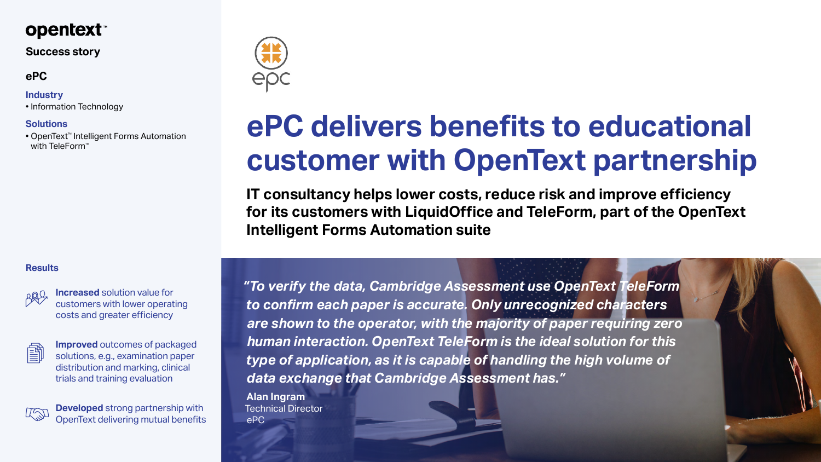*"To verify the data, Cambridge Assessment use OpenText TeleForm to confirm each paper is accurate. Only unrecognized characters are shown to the operator, with the majority of paper requiring zero human interaction. OpenText TeleForm is the ideal solution for this type of application, as it is capable of handling the high volume of data exchange that Cambridge Assessment has."*

**Alan Ingram**  Technical Director ePC



# **ePC delivers benefits to educational customer with OpenText partnership**

• OpenText™ Intelligent Forms Automation with TeleForm<sup>™</sup>

> **IT consultancy helps lower costs, reduce risk and improve efficiency for its customers with LiquidOffice and TeleForm, part of the OpenText Intelligent Forms Automation suite**

# **opentext™**

#### **Success story**

**Increased** solution value for customers with lower operating costs and greater efficiency

圖

**Improved** outcomes of packaged solutions, e.g., examination paper distribution and marking, clinical trials and training evaluation



**Developed** strong partnership with OpenText delivering mutual benefits



## **ePC**

#### **Industry**

• Information Technology

#### **Solutions**

#### **Results**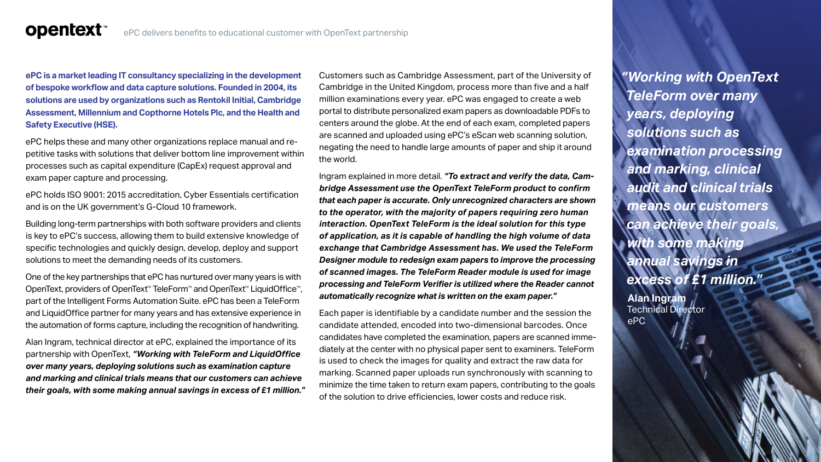**ePC is a market leading IT consultancy specializing in the development of bespoke workflow and data capture solutions. Founded in 2004, its solutions are used by organizations such as Rentokil Initial, Cambridge Assessment, Millennium and Copthorne Hotels Plc, and the Health and Safety Executive (HSE).**

**opentext™** 

ePC helps these and many other organizations replace manual and repetitive tasks with solutions that deliver bottom line improvement within processes such as capital expenditure (CapEx) request approval and exam paper capture and processing.

ePC holds ISO 9001: 2015 accreditation, Cyber Essentials certification and is on the UK government's G-Cloud 10 framework.

Building long-term partnerships with both software providers and clients is key to ePC's success, allowing them to build extensive knowledge of specific technologies and quickly design, develop, deploy and support solutions to meet the demanding needs of its customers.

One of the key partnerships that ePC has nurtured over many years is with OpenText, providers of OpenText™ TeleForm™ and OpenText™ LiquidOffice™, part of the Intelligent Forms Automation Suite. ePC has been a TeleForm and LiquidOffice partner for many years and has extensive experience in the automation of forms capture, including the recognition of handwriting.

Alan Ingram, technical director at ePC, explained the importance of its partnership with OpenText, *"Working with TeleForm and LiquidOffice over many years, deploying solutions such as examination capture and marking and clinical trials means that our customers can achieve their goals, with some making annual savings in excess of £1 million."*

Customers such as Cambridge Assessment, part of the University of Cambridge in the United Kingdom, process more than five and a half million examinations every year. ePC was engaged to create a web portal to distribute personalized exam papers as downloadable PDFs to centers around the globe. At the end of each exam, completed papers are scanned and uploaded using ePC's eScan web scanning solution, negating the need to handle large amounts of paper and ship it around the world.

Ingram explained in more detail. *"To extract and verify the data, Cambridge Assessment use the OpenText TeleForm product to confirm that each paper is accurate. Only unrecognized characters are shown to the operator, with the majority of papers requiring zero human interaction. OpenText TeleForm is the ideal solution for this type of application, as it is capable of handling the high volume of data exchange that Cambridge Assessment has. We used the TeleForm Designer module to redesign exam papers to improve the processing of scanned images. The TeleForm Reader module is used for image processing and TeleForm Verifier is utilized where the Reader cannot automatically recognize what is written on the exam paper."*

Each paper is identifiable by a candidate number and the session the candidate attended, encoded into two-dimensional barcodes. Once candidates have completed the examination, papers are scanned immediately at the center with no physical paper sent to examiners. TeleForm is used to check the images for quality and extract the raw data for marking. Scanned paper uploads run synchronously with scanning to minimize the time taken to return exam papers, contributing to the goals of the solution to drive efficiencies, lower costs and reduce risk.

*"Working with OpenText TeleForm over many years, deploying solutions such as examination processing and marking, clinical audit and clinical trials means our customers can achieve their goals, with some making annual savings in excess of £1 million."* 

**Alan Ingram**  Technical Director ePC